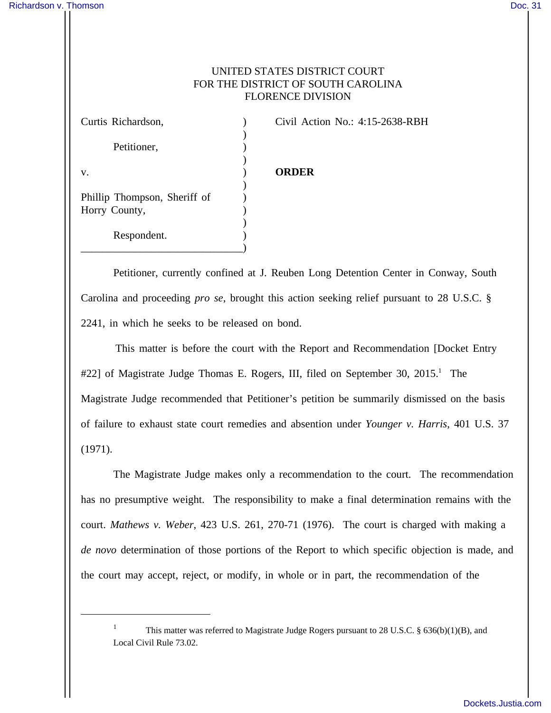## UNITED STATES DISTRICT COURT FOR THE DISTRICT OF SOUTH CAROLINA FLORENCE DIVISION

| Curtis Richardson,           | Civil Action No.: 4:15-2638-RBH |
|------------------------------|---------------------------------|
|                              |                                 |
| Petitioner,                  |                                 |
|                              |                                 |
| V.                           | <b>ORDER</b>                    |
|                              |                                 |
| Phillip Thompson, Sheriff of |                                 |
| Horry County,                |                                 |
|                              |                                 |
| Respondent.                  |                                 |
|                              |                                 |

Petitioner, currently confined at J. Reuben Long Detention Center in Conway, South Carolina and proceeding *pro se*, brought this action seeking relief pursuant to 28 U.S.C. § 2241, in which he seeks to be released on bond.

 This matter is before the court with the Report and Recommendation [Docket Entry #22] of Magistrate Judge Thomas E. Rogers, III, filed on September 30, 2015.<sup>1</sup> The Magistrate Judge recommended that Petitioner's petition be summarily dismissed on the basis of failure to exhaust state court remedies and absention under *Younger v. Harris*, 401 U.S. 37 (1971).

 The Magistrate Judge makes only a recommendation to the court. The recommendation has no presumptive weight. The responsibility to make a final determination remains with the court. *Mathews v. Weber*, 423 U.S. 261, 270-71 (1976). The court is charged with making a *de novo* determination of those portions of the Report to which specific objection is made, and the court may accept, reject, or modify, in whole or in part, the recommendation of the

<sup>1</sup> This matter was referred to Magistrate Judge Rogers pursuant to 28 U.S.C. § 636(b)(1)(B), and Local Civil Rule 73.02.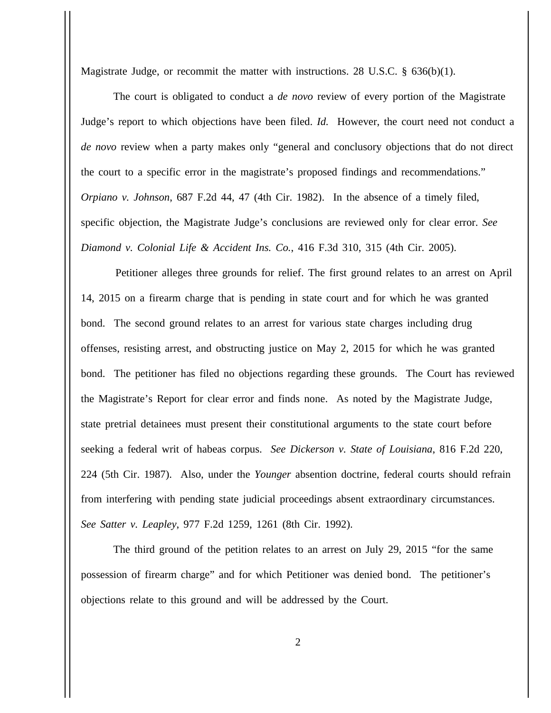Magistrate Judge, or recommit the matter with instructions. 28 U.S.C. § 636(b)(1).

The court is obligated to conduct a *de novo* review of every portion of the Magistrate Judge's report to which objections have been filed. *Id.* However, the court need not conduct a *de novo* review when a party makes only "general and conclusory objections that do not direct the court to a specific error in the magistrate's proposed findings and recommendations." *Orpiano v. Johnson*, 687 F.2d 44, 47 (4th Cir. 1982). In the absence of a timely filed, specific objection, the Magistrate Judge's conclusions are reviewed only for clear error. *See Diamond v. Colonial Life & Accident Ins. Co.*, 416 F.3d 310, 315 (4th Cir. 2005).

 Petitioner alleges three grounds for relief. The first ground relates to an arrest on April 14, 2015 on a firearm charge that is pending in state court and for which he was granted bond. The second ground relates to an arrest for various state charges including drug offenses, resisting arrest, and obstructing justice on May 2, 2015 for which he was granted bond. The petitioner has filed no objections regarding these grounds. The Court has reviewed the Magistrate's Report for clear error and finds none. As noted by the Magistrate Judge, state pretrial detainees must present their constitutional arguments to the state court before seeking a federal writ of habeas corpus. *See Dickerson v. State of Louisiana*, 816 F.2d 220, 224 (5th Cir. 1987). Also, under the *Younger* absention doctrine, federal courts should refrain from interfering with pending state judicial proceedings absent extraordinary circumstances. *See Satter v. Leapley*, 977 F.2d 1259, 1261 (8th Cir. 1992).

The third ground of the petition relates to an arrest on July 29, 2015 "for the same possession of firearm charge" and for which Petitioner was denied bond. The petitioner's objections relate to this ground and will be addressed by the Court.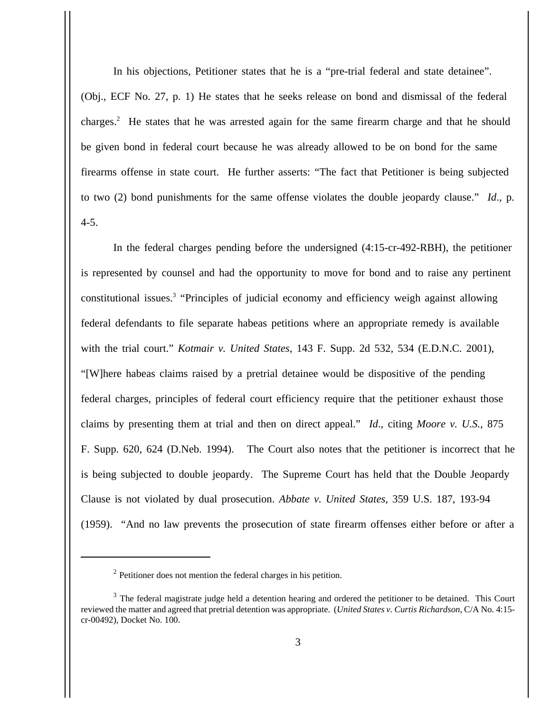In his objections, Petitioner states that he is a "pre-trial federal and state detainee". (Obj., ECF No. 27, p. 1) He states that he seeks release on bond and dismissal of the federal charges.<sup>2</sup> He states that he was arrested again for the same firearm charge and that he should be given bond in federal court because he was already allowed to be on bond for the same firearms offense in state court. He further asserts: "The fact that Petitioner is being subjected to two (2) bond punishments for the same offense violates the double jeopardy clause." *Id*., p. 4-5.

In the federal charges pending before the undersigned (4:15-cr-492-RBH), the petitioner is represented by counsel and had the opportunity to move for bond and to raise any pertinent constitutional issues.<sup>3</sup> "Principles of judicial economy and efficiency weigh against allowing federal defendants to file separate habeas petitions where an appropriate remedy is available with the trial court." *Kotmair v. United States*, 143 F. Supp. 2d 532, 534 (E.D.N.C. 2001), "[W]here habeas claims raised by a pretrial detainee would be dispositive of the pending federal charges, principles of federal court efficiency require that the petitioner exhaust those claims by presenting them at trial and then on direct appeal." *Id*., citing *Moore v. U.S.*, 875 F. Supp. 620, 624 (D.Neb. 1994). The Court also notes that the petitioner is incorrect that he is being subjected to double jeopardy. The Supreme Court has held that the Double Jeopardy Clause is not violated by dual prosecution. *Abbate v. United States*, 359 U.S. 187, 193-94 (1959). "And no law prevents the prosecution of state firearm offenses either before or after a

 $2$  Petitioner does not mention the federal charges in his petition.

 $3$  The federal magistrate judge held a detention hearing and ordered the petitioner to be detained. This Court reviewed the matter and agreed that pretrial detention was appropriate. (*United States v. Curtis Richardson*, C/A No. 4:15 cr-00492), Docket No. 100.